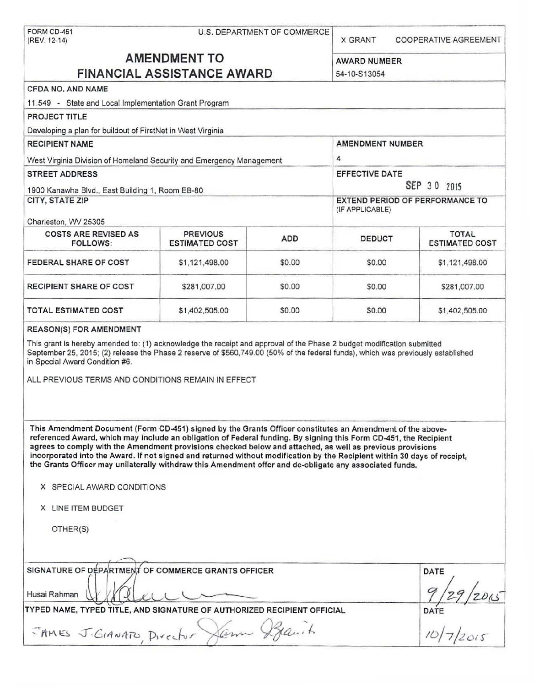|                                                                                                                                                                                                                                                                                                                                                                                                                                                                                                                                                                                                                 | FORM CD-451<br>U.S. DEPARTMENT OF COMMERCE<br>(REV. 12-14) |            |                       | <b>COOPERATIVE AGREEMENT</b>          |
|-----------------------------------------------------------------------------------------------------------------------------------------------------------------------------------------------------------------------------------------------------------------------------------------------------------------------------------------------------------------------------------------------------------------------------------------------------------------------------------------------------------------------------------------------------------------------------------------------------------------|------------------------------------------------------------|------------|-----------------------|---------------------------------------|
| <b>AMENDMENT TO</b>                                                                                                                                                                                                                                                                                                                                                                                                                                                                                                                                                                                             | <b>AWARD NUMBER</b>                                        |            |                       |                                       |
| <b>FINANCIAL ASSISTANCE AWARD</b>                                                                                                                                                                                                                                                                                                                                                                                                                                                                                                                                                                               | 54-10-S13054                                               |            |                       |                                       |
| CFDA NO. AND NAME                                                                                                                                                                                                                                                                                                                                                                                                                                                                                                                                                                                               |                                                            |            |                       |                                       |
| 11.549 - State and Local Implementation Grant Program                                                                                                                                                                                                                                                                                                                                                                                                                                                                                                                                                           |                                                            |            |                       |                                       |
| PROJECT TITLE                                                                                                                                                                                                                                                                                                                                                                                                                                                                                                                                                                                                   |                                                            |            |                       |                                       |
| Developing a plan for buildout of FirstNet in West Virginia                                                                                                                                                                                                                                                                                                                                                                                                                                                                                                                                                     |                                                            |            |                       |                                       |
| <b>RECIPIENT NAME</b>                                                                                                                                                                                                                                                                                                                                                                                                                                                                                                                                                                                           | <b>AMENDMENT NUMBER</b>                                    |            |                       |                                       |
| West Virginia Division of Homeland Security and Emergency Management                                                                                                                                                                                                                                                                                                                                                                                                                                                                                                                                            |                                                            |            | 4                     |                                       |
| <b>STREET ADDRESS</b>                                                                                                                                                                                                                                                                                                                                                                                                                                                                                                                                                                                           |                                                            |            | <b>EFFECTIVE DATE</b> |                                       |
| 1900 Kanawha Blvd., East Building 1, Room EB-80                                                                                                                                                                                                                                                                                                                                                                                                                                                                                                                                                                 |                                                            |            | SEP 30 2015           |                                       |
| CITY, STATE ZIP                                                                                                                                                                                                                                                                                                                                                                                                                                                                                                                                                                                                 | <b>EXTEND PERIOD OF PERFORMANCE TO</b><br>(IF APPLICABLE)  |            |                       |                                       |
| Charleston, WV 25305<br><b>COSTS ARE REVISED AS</b><br>FOLLOWS:                                                                                                                                                                                                                                                                                                                                                                                                                                                                                                                                                 | <b>PREVIOUS</b><br><b>ESTIMATED COST</b>                   | <b>ADD</b> | <b>DEDUCT</b>         | <b>TOTAL</b><br><b>ESTIMATED COST</b> |
| FEDERAL SHARE OF COST                                                                                                                                                                                                                                                                                                                                                                                                                                                                                                                                                                                           | \$1,121,498.00                                             | \$0.00     | \$0.00                | \$1,121,498.00                        |
| <b>RECIPIENT SHARE OF COST</b>                                                                                                                                                                                                                                                                                                                                                                                                                                                                                                                                                                                  | \$281,007.00                                               | \$0.00     | \$0.00                | \$281,007.00                          |
| <b>TOTAL ESTIMATED COST</b>                                                                                                                                                                                                                                                                                                                                                                                                                                                                                                                                                                                     | \$1,402,505.00                                             | \$0.00     | \$0.00                | \$1,402,505.00                        |
|                                                                                                                                                                                                                                                                                                                                                                                                                                                                                                                                                                                                                 |                                                            |            |                       |                                       |
|                                                                                                                                                                                                                                                                                                                                                                                                                                                                                                                                                                                                                 |                                                            |            |                       |                                       |
| This Amendment Document (Form CD-451) signed by the Grants Officer constitutes an Amendment of the above-<br>referenced Award, which may include an obligation of Federal funding. By signing this Form CD-451, the Recipient<br>agrees to comply with the Amendment provisions checked below and attached, as well as previous provisions<br>incorporated into the Award. If not signed and returned without modification by the Recipient within 30 days of receipt,<br>the Grants Officer may unilaterally withdraw this Amendment offer and de-obligate any associated funds.<br>X SPECIAL AWARD CONDITIONS |                                                            |            |                       |                                       |
| <b>REASON(S) FOR AMENDMENT</b><br>This grant is hereby amended to: (1) acknowledge the receipt and approval of the Phase 2 budget modification submitted<br>September 25, 2015; (2) release the Phase 2 reserve of \$560,749.00 (50% of the federal funds), which was previously established<br>in Special Award Condition #6.<br>ALL PREVIOUS TERMS AND CONDITIONS REMAIN IN EFFECT<br>X LINE ITEM BUDGET                                                                                                                                                                                                      |                                                            |            |                       |                                       |
| OTHER(S)                                                                                                                                                                                                                                                                                                                                                                                                                                                                                                                                                                                                        |                                                            |            |                       |                                       |
|                                                                                                                                                                                                                                                                                                                                                                                                                                                                                                                                                                                                                 |                                                            |            |                       | DATE                                  |
| SIGNATURE OF DEPARTMENT OF COMMERCE GRANTS OFFICER<br>Husai Rahman<br>TYPED NAME, TYPED TITLE, AND SIGNATURE OF AUTHORIZED RECIPIENT OFFICIAL                                                                                                                                                                                                                                                                                                                                                                                                                                                                   |                                                            |            |                       | DATE<br>10/7/2015                     |